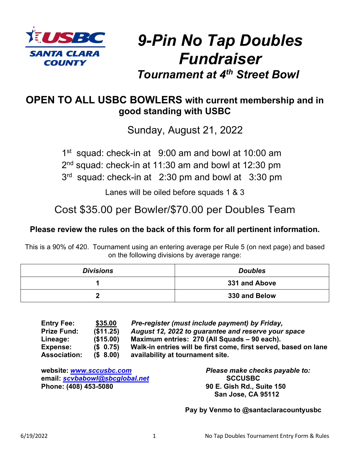

# *9-Pin No Tap Doubles Fundraiser Tournament at 4th Street Bowl*

## **OPEN TO ALL USBC BOWLERS with current membership and in good standing with USBC**

Sunday, August 21, 2022

1<sup>st</sup> squad: check-in at 9:00 am and bowl at 10:00 am 2<sup>nd</sup> squad: check-in at 11:30 am and bowl at 12:30 pm

3<sup>rd</sup> squad: check-in at 2:30 pm and bowl at 3:30 pm

Lanes will be oiled before squads 1 & 3

Cost \$35.00 per Bowler/\$70.00 per Doubles Team

### **Please review the rules on the back of this form for all pertinent information.**

This is a 90% of 420. Tournament using an entering average per Rule 5 (on next page) and based on the following divisions by average range:

| <b>Divisions</b> | <b>Doubles</b> |  |
|------------------|----------------|--|
|                  | 331 and Above  |  |
|                  | 330 and Below  |  |

| <b>Entry Fee:</b>   | \$35.00    | Pre-register (must include payment) by Friday,                  |
|---------------------|------------|-----------------------------------------------------------------|
| <b>Prize Fund:</b>  | (\$11.25)  | August 12, 2022 to guarantee and reserve your space             |
| Lineage:            | (S15.00)   | Maximum entries: 270 (All Squads – 90 each).                    |
| Expense:            | $(S$ 0.75) | Walk-in entries will be first come, first served, based on lane |
| <b>Association:</b> | (S 8.00)   | availability at tournament site.                                |

**website:** *[www.sccusbc.com](about:blank) Please make checks payable to:*  **email:** *[scvbabowl@sbcglobal.net](about:blank)* **SCCUSBC**

**Phone: (408) 453-5080 90 E. Gish Rd., Suite 150 San Jose, CA 95112**

 **Pay by Venmo to @santaclaracountyusbc**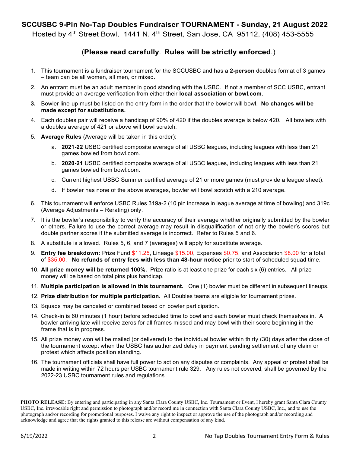#### **SCCUSBC 9-Pin No-Tap Doubles Fundraiser TOURNAMENT - Sunday, 21 August 2022**

Hosted by 4<sup>th</sup> Street Bowl, 1441 N. 4<sup>th</sup> Street, San Jose, CA 95112, (408) 453-5555

#### (**Please read carefully**. **Rules will be strictly enforced**.)

- 1. This tournament is a fundraiser tournament for the SCCUSBC and has a **2-person** doubles format of 3 games – team can be all women, all men, or mixed.
- 2. An entrant must be an adult member in good standing with the USBC. If not a member of SCC USBC, entrant must provide an average verification from either their **local association** or **bowl.com**.
- **3.** Bowler line-up must be listed on the entry form in the order that the bowler will bowl. **No changes will be made except for substitutions.**
- 4. Each doubles pair will receive a handicap of 90% of 420 if the doubles average is below 420. All bowlers with a doubles average of 421 or above will bowl scratch.
- 5. **Average Rules** (Average will be taken in this order):
	- a. **2021-22** USBC certified composite average of all USBC leagues, including leagues with less than 21 games bowled from bowl.com.
	- b. **2020-21** USBC certified composite average of all USBC leagues, including leagues with less than 21 games bowled from bowl.com.
	- c. Current highest USBC Summer certified average of 21 or more games (must provide a league sheet).
	- d. If bowler has none of the above averages, bowler will bowl scratch with a 210 average.
- 6. This tournament will enforce USBC Rules 319a-2 (10 pin increase in league average at time of bowling) and 319c (Average Adjustments – Rerating) only.
- 7. It is the bowler's responsibility to verify the accuracy of their average whether originally submitted by the bowler or others. Failure to use the correct average may result in disqualification of not only the bowler's scores but double partner scores if the submitted average is incorrect. Refer to Rules 5 and 6.
- 8. A substitute is allowed. Rules 5, 6, and 7 (averages) will apply for substitute average.
- 9. **Entry fee breakdown:** Prize Fund \$11.25, Lineage \$15.00, Expenses \$0.75, and Association \$8.00 for a total of \$35.00. **No refunds of entry fees with less than 48-hour notice** prior to start of scheduled squad time.
- 10. **All prize money will be returned 100%.** Prize ratio is at least one prize for each six (6) entries. All prize money will be based on total pins plus handicap.
- 11. **Multiple participation is allowed in this tournament.** One (1) bowler must be different in subsequent lineups.
- 12. **Prize distribution for multiple participation.** All Doubles teams are eligible for tournament prizes.
- 13. Squads may be canceled or combined based on bowler participation.
- 14. Check-in is 60 minutes (1 hour) before scheduled time to bowl and each bowler must check themselves in. A bowler arriving late will receive zeros for all frames missed and may bowl with their score beginning in the frame that is in progress.
- 15. All prize money won will be mailed (or delivered) to the individual bowler within thirty (30) days after the close of the tournament except when the USBC has authorized delay in payment pending settlement of any claim or protest which affects position standing.
- 16. The tournament officials shall have full power to act on any disputes or complaints. Any appeal or protest shall be made in writing within 72 hours per USBC tournament rule 329. Any rules not covered, shall be governed by the 2022-23 USBC tournament rules and regulations.

**PHOTO RELEASE:** By entering and participating in any Santa Clara County USBC, Inc. Tournament or Event, I hereby grant Santa Clara County USBC, Inc. irrevocable right and permission to photograph and/or record me in connection with Santa Clara County USBC, Inc., and to use the photograph and/or recording for promotional purposes. I waive any right to inspect or approve the use of the photograph and/or recording and acknowledge and agree that the rights granted to this release are without compensation of any kind.